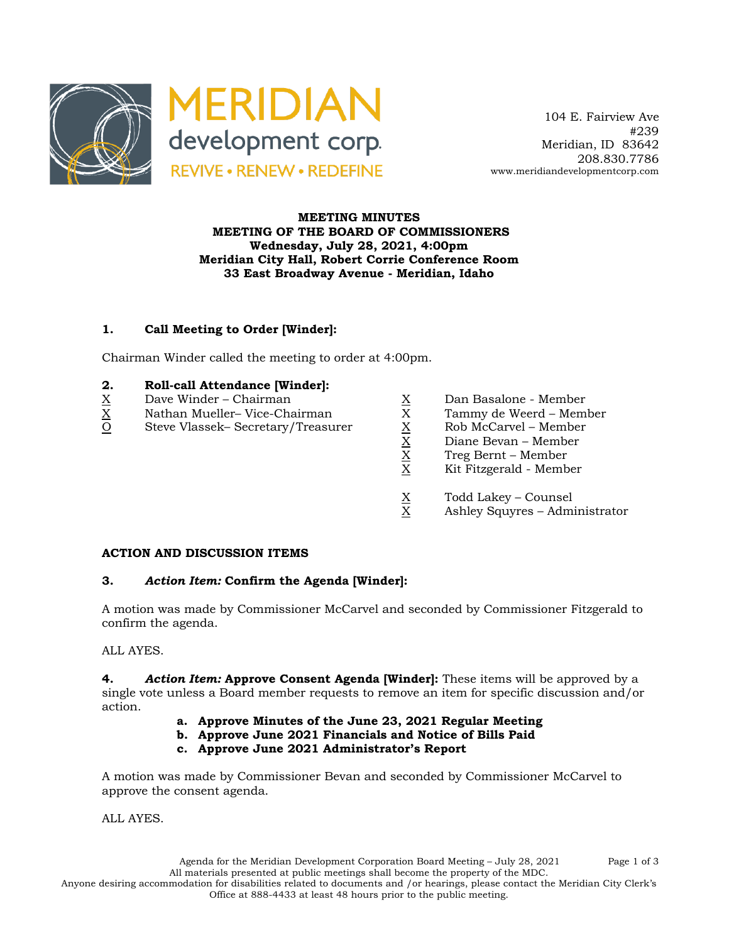

 104 E. Fairview Ave #239 Meridian, ID 83642 208.830.7786 www.meridiandevelopmentcorp.com

### **MEETING MINUTES MEETING OF THE BOARD OF COMMISSIONERS Wednesday, July 28, 2021, 4:00pm Meridian City Hall, Robert Corrie Conference Room 33 East Broadway Avenue - Meridian, Idaho**

# **1. Call Meeting to Order [Winder]:**

Chairman Winder called the meeting to order at 4:00pm.

#### **2. Roll-call Attendance [Winder]:**

- 
- $X$  Dave Winder Chairman  $X$  Dan Basalone Member  $X$  Nathan Mueller– Vice-Chairman  $X$  Tammy de Weerd Mem
- $\begin{array}{lll} \underline{X} & \text{Nathan Muelle} \\ \underline{O} & \text{Steve Vlassek}-\text{Secretary/Treasure} \\ \end{array} \hspace{1.5cm} \begin{array}{lll} \underline{X} & \text{Tammy de Weerd -- Member} \\ \underline{X} & \text{Rob McCarvel -- Member} \\ \underline{X} & \text{Diane Bevan -- Member} \\ \underline{X} & \text{Treg Bernt -- Member} \\ \end{array}$ O Steve Vlassek– Secretary/Treasurer
- -
	-
	- Diane Bevan Member
	- X Treg Bernt Member
	- X Kit Fitzgerald Member
	- $X = \text{Total Lakey} \text{Counsel}$ <br>X Ashley Squyres Adm
	- Ashley Squyres Administrator

#### **ACTION AND DISCUSSION ITEMS**

### **3.** *Action Item:* **Confirm the Agenda [Winder]:**

A motion was made by Commissioner McCarvel and seconded by Commissioner Fitzgerald to confirm the agenda.

ALL AYES.

**4.** *Action Item:* **Approve Consent Agenda [Winder]:** These items will be approved by a single vote unless a Board member requests to remove an item for specific discussion and/or action.

- **a. Approve Minutes of the June 23, 2021 Regular Meeting**
- **b. Approve June 2021 Financials and Notice of Bills Paid**
- **c. Approve June 2021 Administrator's Report**

A motion was made by Commissioner Bevan and seconded by Commissioner McCarvel to approve the consent agenda.

ALL AYES.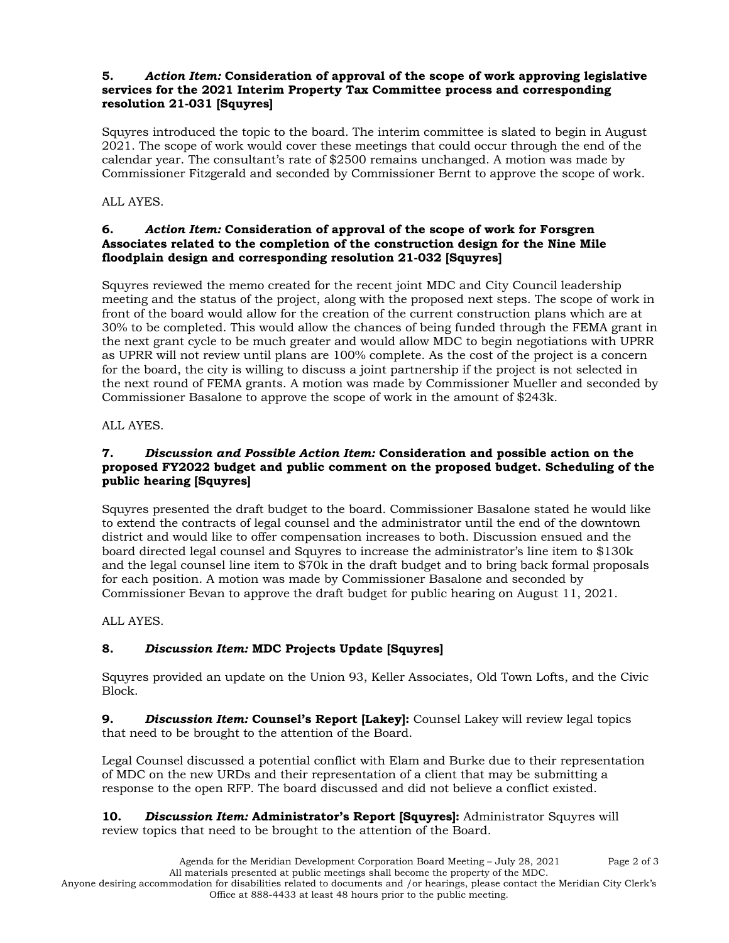#### **5.** *Action Item:* **Consideration of approval of the scope of work approving legislative services for the 2021 Interim Property Tax Committee process and corresponding resolution 21-031 [Squyres]**

Squyres introduced the topic to the board. The interim committee is slated to begin in August 2021. The scope of work would cover these meetings that could occur through the end of the calendar year. The consultant's rate of \$2500 remains unchanged. A motion was made by Commissioner Fitzgerald and seconded by Commissioner Bernt to approve the scope of work.

### ALL AYES.

#### **6.** *Action Item:* **Consideration of approval of the scope of work for Forsgren Associates related to the completion of the construction design for the Nine Mile floodplain design and corresponding resolution 21-032 [Squyres]**

Squyres reviewed the memo created for the recent joint MDC and City Council leadership meeting and the status of the project, along with the proposed next steps. The scope of work in front of the board would allow for the creation of the current construction plans which are at 30% to be completed. This would allow the chances of being funded through the FEMA grant in the next grant cycle to be much greater and would allow MDC to begin negotiations with UPRR as UPRR will not review until plans are 100% complete. As the cost of the project is a concern for the board, the city is willing to discuss a joint partnership if the project is not selected in the next round of FEMA grants. A motion was made by Commissioner Mueller and seconded by Commissioner Basalone to approve the scope of work in the amount of \$243k.

### ALL AYES.

#### **7.** *Discussion and Possible Action Item:* **Consideration and possible action on the proposed FY2022 budget and public comment on the proposed budget. Scheduling of the public hearing [Squyres]**

Squyres presented the draft budget to the board. Commissioner Basalone stated he would like to extend the contracts of legal counsel and the administrator until the end of the downtown district and would like to offer compensation increases to both. Discussion ensued and the board directed legal counsel and Squyres to increase the administrator's line item to \$130k and the legal counsel line item to \$70k in the draft budget and to bring back formal proposals for each position. A motion was made by Commissioner Basalone and seconded by Commissioner Bevan to approve the draft budget for public hearing on August 11, 2021.

### ALL AYES.

# **8.** *Discussion Item:* **MDC Projects Update [Squyres]**

Squyres provided an update on the Union 93, Keller Associates, Old Town Lofts, and the Civic Block.

**9.** *Discussion Item:* **Counsel's Report [Lakey]:** Counsel Lakey will review legal topics that need to be brought to the attention of the Board.

Legal Counsel discussed a potential conflict with Elam and Burke due to their representation of MDC on the new URDs and their representation of a client that may be submitting a response to the open RFP. The board discussed and did not believe a conflict existed.

**10.** *Discussion Item:* **Administrator's Report [Squyres]:** Administrator Squyres will review topics that need to be brought to the attention of the Board.